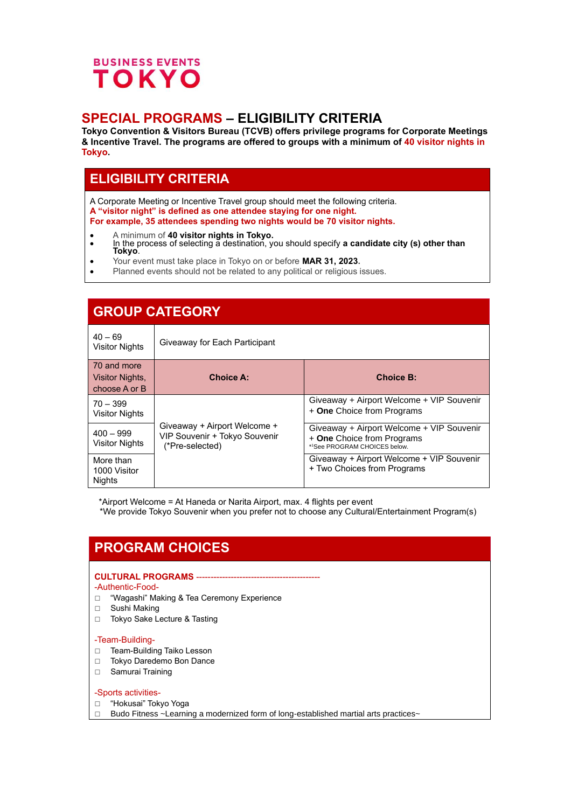

## **SPECIAL PROGRAMS – ELIGIBILITY CRITERIA**

**Tokyo Convention & Visitors Bureau (TCVB) offers privilege programs for Corporate Meetings & Incentive Travel. The programs are offered to groups with a minimum of 40 visitor nights in Tokyo.**

# **ELIGIBILITY CRITERIA**

A Corporate Meeting or Incentive Travel group should meet the following criteria. **A "visitor night" is defined as one attendee staying for one night. For example, 35 attendees spending two nights would be 70 visitor nights.**

- A minimum of **40 visitor nights in Tokyo.**
- In the process of selecting a destination, you should specify **a candidate city (s) other than Tokyo**.
- Your event must take place in Tokyo on or before **MAR 31, 2023.**
- Planned events should not be related to any political or religious issues.

| <b>GROUP CATEGORY</b>                           |                                                                                  |                                                                                                         |
|-------------------------------------------------|----------------------------------------------------------------------------------|---------------------------------------------------------------------------------------------------------|
| $40 - 69$<br>Visitor Nights                     | Giveaway for Each Participant                                                    |                                                                                                         |
| 70 and more<br>Visitor Nights,<br>choose A or B | <b>Choice A:</b>                                                                 | <b>Choice B:</b>                                                                                        |
| $70 - 399$<br><b>Visitor Nights</b>             |                                                                                  | Giveaway + Airport Welcome + VIP Souvenir<br>+ One Choice from Programs                                 |
| $400 - 999$<br><b>Visitor Nights</b>            | Giveaway + Airport Welcome +<br>VIP Souvenir + Tokyo Souvenir<br>(*Pre-selected) | Giveaway + Airport Welcome + VIP Souvenir<br>+ One Choice from Programs<br>*1See PROGRAM CHOICES below. |
| More than<br>1000 Visitor<br><b>Nights</b>      |                                                                                  | Giveaway + Airport Welcome + VIP Souvenir<br>+ Two Choices from Programs                                |

\*Airport Welcome = At Haneda or Narita Airport, max. 4 flights per event

\*We provide Tokyo Souvenir when you prefer not to choose any Cultural/Entertainment Program(s)

# **PROGRAM CHOICES**

## **CULTURAL PROGRAMS** -------------------------------------------

### -Authentic-Food-

- □ "Wagashi" Making & Tea Ceremony Experience
- □ Sushi Making
- □ Tokyo Sake Lecture & Tasting

### -Team-Building-

- □ Team-Building Taiko Lesson
- □ Tokyo Daredemo Bon Dance
- □ Samurai Training

### -Sports activities-

- □ "Hokusai" Tokyo Yoga
- $\Box$  Budo Fitness ~Learning a modernized form of long-established martial arts practices~